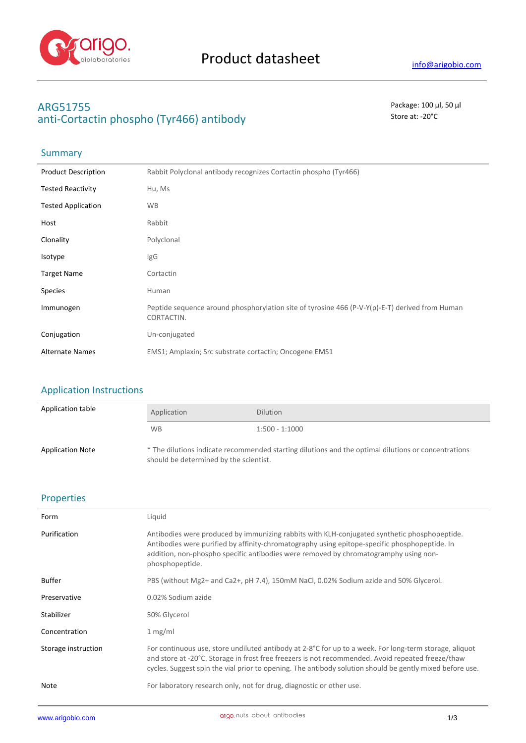

# **ARG51755** Package: 100 μl, 50 μl anti-Cortactin phospho (Tyr466) antibody **Store at:** -20<sup>°</sup>C

## **Summary**

| <b>Product Description</b> | Rabbit Polyclonal antibody recognizes Cortactin phospho (Tyr466)                                             |
|----------------------------|--------------------------------------------------------------------------------------------------------------|
| <b>Tested Reactivity</b>   | Hu, Ms                                                                                                       |
| <b>Tested Application</b>  | <b>WB</b>                                                                                                    |
| Host                       | Rabbit                                                                                                       |
| Clonality                  | Polyclonal                                                                                                   |
| Isotype                    | IgG                                                                                                          |
| <b>Target Name</b>         | Cortactin                                                                                                    |
| <b>Species</b>             | Human                                                                                                        |
| Immunogen                  | Peptide sequence around phosphorylation site of tyrosine 466 (P-V-Y(p)-E-T) derived from Human<br>CORTACTIN. |
| Conjugation                | Un-conjugated                                                                                                |
| <b>Alternate Names</b>     | EMS1; Amplaxin; Src substrate cortactin; Oncogene EMS1                                                       |

## Application Instructions

| Application table       | Application                            | <b>Dilution</b>                                                                                     |
|-------------------------|----------------------------------------|-----------------------------------------------------------------------------------------------------|
|                         | <b>WB</b>                              | $1:500 - 1:1000$                                                                                    |
| <b>Application Note</b> | should be determined by the scientist. | * The dilutions indicate recommended starting dilutions and the optimal dilutions or concentrations |

### Properties

| Form                | Liquid                                                                                                                                                                                                                                                                                                                     |
|---------------------|----------------------------------------------------------------------------------------------------------------------------------------------------------------------------------------------------------------------------------------------------------------------------------------------------------------------------|
| Purification        | Antibodies were produced by immunizing rabbits with KLH-conjugated synthetic phosphopeptide.<br>Antibodies were purified by affinity-chromatography using epitope-specific phosphopeptide. In<br>addition, non-phospho specific antibodies were removed by chromatogramphy using non-<br>phosphopeptide.                   |
| <b>Buffer</b>       | PBS (without Mg2+ and Ca2+, pH 7.4), 150mM NaCl, 0.02% Sodium azide and 50% Glycerol.                                                                                                                                                                                                                                      |
| Preservative        | 0.02% Sodium azide                                                                                                                                                                                                                                                                                                         |
| Stabilizer          | 50% Glycerol                                                                                                                                                                                                                                                                                                               |
| Concentration       | 1 mg/ml                                                                                                                                                                                                                                                                                                                    |
| Storage instruction | For continuous use, store undiluted antibody at $2-8$ °C for up to a week. For long-term storage, aliquot<br>and store at -20°C. Storage in frost free freezers is not recommended. Avoid repeated freeze/thaw<br>cycles. Suggest spin the vial prior to opening. The antibody solution should be gently mixed before use. |
| Note                | For laboratory research only, not for drug, diagnostic or other use.                                                                                                                                                                                                                                                       |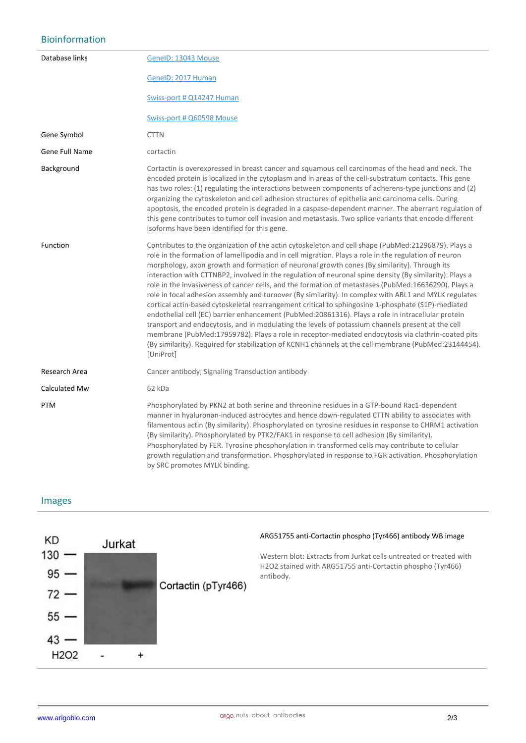# Bioinformation

| Database links | GeneID: 13043 Mouse                                                                                                                                                                                                                                                                                                                                                                                                                                                                                                                                                                                                                                                                                                                                                                                                                                                                                                                                                                                                                                                                                                                                                                  |
|----------------|--------------------------------------------------------------------------------------------------------------------------------------------------------------------------------------------------------------------------------------------------------------------------------------------------------------------------------------------------------------------------------------------------------------------------------------------------------------------------------------------------------------------------------------------------------------------------------------------------------------------------------------------------------------------------------------------------------------------------------------------------------------------------------------------------------------------------------------------------------------------------------------------------------------------------------------------------------------------------------------------------------------------------------------------------------------------------------------------------------------------------------------------------------------------------------------|
|                | GenelD: 2017 Human                                                                                                                                                                                                                                                                                                                                                                                                                                                                                                                                                                                                                                                                                                                                                                                                                                                                                                                                                                                                                                                                                                                                                                   |
|                | Swiss-port # Q14247 Human                                                                                                                                                                                                                                                                                                                                                                                                                                                                                                                                                                                                                                                                                                                                                                                                                                                                                                                                                                                                                                                                                                                                                            |
|                | Swiss-port # Q60598 Mouse                                                                                                                                                                                                                                                                                                                                                                                                                                                                                                                                                                                                                                                                                                                                                                                                                                                                                                                                                                                                                                                                                                                                                            |
| Gene Symbol    | <b>CTTN</b>                                                                                                                                                                                                                                                                                                                                                                                                                                                                                                                                                                                                                                                                                                                                                                                                                                                                                                                                                                                                                                                                                                                                                                          |
| Gene Full Name | cortactin                                                                                                                                                                                                                                                                                                                                                                                                                                                                                                                                                                                                                                                                                                                                                                                                                                                                                                                                                                                                                                                                                                                                                                            |
| Background     | Cortactin is overexpressed in breast cancer and squamous cell carcinomas of the head and neck. The<br>encoded protein is localized in the cytoplasm and in areas of the cell-substratum contacts. This gene<br>has two roles: (1) regulating the interactions between components of adherens-type junctions and (2)<br>organizing the cytoskeleton and cell adhesion structures of epithelia and carcinoma cells. During<br>apoptosis, the encoded protein is degraded in a caspase-dependent manner. The aberrant regulation of<br>this gene contributes to tumor cell invasion and metastasis. Two splice variants that encode different<br>isoforms have been identified for this gene.                                                                                                                                                                                                                                                                                                                                                                                                                                                                                           |
| Function       | Contributes to the organization of the actin cytoskeleton and cell shape (PubMed:21296879). Plays a<br>role in the formation of lamellipodia and in cell migration. Plays a role in the regulation of neuron<br>morphology, axon growth and formation of neuronal growth cones (By similarity). Through its<br>interaction with CTTNBP2, involved in the regulation of neuronal spine density (By similarity). Plays a<br>role in the invasiveness of cancer cells, and the formation of metastases (PubMed:16636290). Plays a<br>role in focal adhesion assembly and turnover (By similarity). In complex with ABL1 and MYLK regulates<br>cortical actin-based cytoskeletal rearrangement critical to sphingosine 1-phosphate (S1P)-mediated<br>endothelial cell (EC) barrier enhancement (PubMed:20861316). Plays a role in intracellular protein<br>transport and endocytosis, and in modulating the levels of potassium channels present at the cell<br>membrane (PubMed:17959782). Plays a role in receptor-mediated endocytosis via clathrin-coated pits<br>(By similarity). Required for stabilization of KCNH1 channels at the cell membrane (PubMed:23144454).<br>[UniProt] |
| Research Area  | Cancer antibody; Signaling Transduction antibody                                                                                                                                                                                                                                                                                                                                                                                                                                                                                                                                                                                                                                                                                                                                                                                                                                                                                                                                                                                                                                                                                                                                     |
| Calculated Mw  | 62 kDa                                                                                                                                                                                                                                                                                                                                                                                                                                                                                                                                                                                                                                                                                                                                                                                                                                                                                                                                                                                                                                                                                                                                                                               |
| <b>PTM</b>     | Phosphorylated by PKN2 at both serine and threonine residues in a GTP-bound Rac1-dependent<br>manner in hyaluronan-induced astrocytes and hence down-regulated CTTN ability to associates with<br>filamentous actin (By similarity). Phosphorylated on tyrosine residues in response to CHRM1 activation<br>(By similarity). Phosphorylated by PTK2/FAK1 in response to cell adhesion (By similarity).<br>Phosphorylated by FER. Tyrosine phosphorylation in transformed cells may contribute to cellular<br>growth regulation and transformation. Phosphorylated in response to FGR activation. Phosphorylation<br>by SRC promotes MYLK binding.                                                                                                                                                                                                                                                                                                                                                                                                                                                                                                                                    |

#### Images